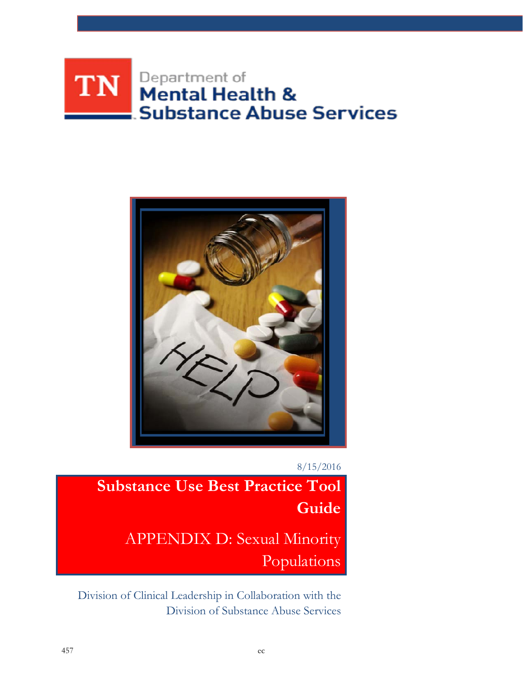# Department of<br>**Mental Health &** TN | **Substance Abuse Services**



8/15/2016

**Substance Use Best Practice Tool Guide** APPENDIX D: Sexual Minority Populations

Division of Clinical Leadership in Collaboration with the Division of Substance Abuse Services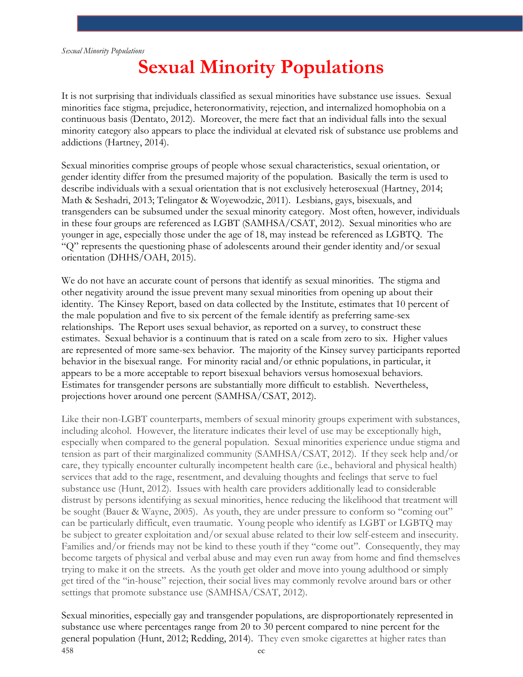# **Sexual Minority Populations**

It is not surprising that individuals classified as sexual minorities have substance use issues. Sexual minorities face stigma, prejudice, heteronormativity, rejection, and internalized homophobia on a continuous basis (Dentato, 2012). Moreover, the mere fact that an individual falls into the sexual minority category also appears to place the individual at elevated risk of substance use problems and addictions (Hartney, 2014).

Sexual minorities comprise groups of people whose sexual characteristics, sexual orientation, or gender identity differ from the presumed majority of the population. Basically the term is used to describe individuals with a sexual orientation that is not exclusively heterosexual (Hartney, 2014; Math & Seshadri, 2013; Telingator & Woyewodzic, 2011). Lesbians, gays, bisexuals, and transgenders can be subsumed under the sexual minority category. Most often, however, individuals in these four groups are referenced as LGBT (SAMHSA/CSAT, 2012). Sexual minorities who are younger in age, especially those under the age of 18, may instead be referenced as LGBTQ. The "Q" represents the questioning phase of adolescents around their gender identity and/or sexual orientation (DHHS/OAH, 2015).

We do not have an accurate count of persons that identify as sexual minorities. The stigma and other negativity around the issue prevent many sexual minorities from opening up about their identity. The Kinsey Report, based on data collected by the Institute, estimates that 10 percent of the male population and five to six percent of the female identify as preferring same-sex relationships. The Report uses sexual behavior, as reported on a survey, to construct these estimates. Sexual behavior is a continuum that is rated on a scale from zero to six. Higher values are represented of more same-sex behavior. The majority of the Kinsey survey participants reported behavior in the bisexual range. For minority racial and/or ethnic populations, in particular, it appears to be a more acceptable to report bisexual behaviors versus homosexual behaviors. Estimates for transgender persons are substantially more difficult to establish. Nevertheless, projections hover around one percent (SAMHSA/CSAT, 2012).

Like their non-LGBT counterparts, members of sexual minority groups experiment with substances, including alcohol. However, the literature indicates their level of use may be exceptionally high, especially when compared to the general population. Sexual minorities experience undue stigma and tension as part of their marginalized community (SAMHSA/CSAT, 2012). If they seek help and/or care, they typically encounter culturally incompetent health care (i.e., behavioral and physical health) services that add to the rage, resentment, and devaluing thoughts and feelings that serve to fuel substance use (Hunt, 2012). Issues with health care providers additionally lead to considerable distrust by persons identifying as sexual minorities, hence reducing the likelihood that treatment will be sought (Bauer & Wayne, 2005). As youth, they are under pressure to conform so "coming out" can be particularly difficult, even traumatic. Young people who identify as LGBT or LGBTQ may be subject to greater exploitation and/or sexual abuse related to their low self-esteem and insecurity. Families and/or friends may not be kind to these youth if they "come out". Consequently, they may become targets of physical and verbal abuse and may even run away from home and find themselves trying to make it on the streets. As the youth get older and move into young adulthood or simply get tired of the "in-house" rejection, their social lives may commonly revolve around bars or other settings that promote substance use (SAMHSA/CSAT, 2012).

Sexual minorities, especially gay and transgender populations, are disproportionately represented in substance use where percentages range from 20 to 30 percent compared to nine percent for the general population (Hunt, 2012; Redding, 2014). They even smoke cigarettes at higher rates than 458 ec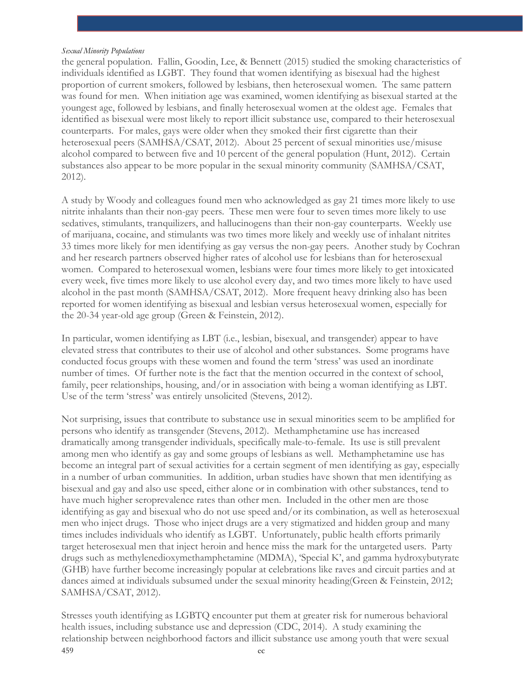the general population. Fallin, Goodin, Lee, & Bennett (2015) studied the smoking characteristics of individuals identified as LGBT. They found that women identifying as bisexual had the highest proportion of current smokers, followed by lesbians, then heterosexual women. The same pattern was found for men. When initiation age was examined, women identifying as bisexual started at the youngest age, followed by lesbians, and finally heterosexual women at the oldest age. Females that identified as bisexual were most likely to report illicit substance use, compared to their heterosexual counterparts. For males, gays were older when they smoked their first cigarette than their heterosexual peers (SAMHSA/CSAT, 2012). About 25 percent of sexual minorities use/misuse alcohol compared to between five and 10 percent of the general population (Hunt, 2012). Certain substances also appear to be more popular in the sexual minority community (SAMHSA/CSAT, 2012).

A study by Woody and colleagues found men who acknowledged as gay 21 times more likely to use nitrite inhalants than their non-gay peers. These men were four to seven times more likely to use sedatives, stimulants, tranquilizers, and hallucinogens than their non-gay counterparts. Weekly use of marijuana, cocaine, and stimulants was two times more likely and weekly use of inhalant nitrites 33 times more likely for men identifying as gay versus the non-gay peers. Another study by Cochran and her research partners observed higher rates of alcohol use for lesbians than for heterosexual women. Compared to heterosexual women, lesbians were four times more likely to get intoxicated every week, five times more likely to use alcohol every day, and two times more likely to have used alcohol in the past month (SAMHSA/CSAT, 2012). More frequent heavy drinking also has been reported for women identifying as bisexual and lesbian versus heterosexual women, especially for the 20-34 year-old age group (Green & Feinstein, 2012).

In particular, women identifying as LBT (i.e., lesbian, bisexual, and transgender) appear to have elevated stress that contributes to their use of alcohol and other substances. Some programs have conducted focus groups with these women and found the term 'stress' was used an inordinate number of times. Of further note is the fact that the mention occurred in the context of school, family, peer relationships, housing, and/or in association with being a woman identifying as LBT. Use of the term 'stress' was entirely unsolicited (Stevens, 2012).

Not surprising, issues that contribute to substance use in sexual minorities seem to be amplified for persons who identify as transgender (Stevens, 2012). Methamphetamine use has increased dramatically among transgender individuals, specifically male-to-female. Its use is still prevalent among men who identify as gay and some groups of lesbians as well. Methamphetamine use has become an integral part of sexual activities for a certain segment of men identifying as gay, especially in a number of urban communities. In addition, urban studies have shown that men identifying as bisexual and gay and also use speed, either alone or in combination with other substances, tend to have much higher seroprevalence rates than other men. Included in the other men are those identifying as gay and bisexual who do not use speed and/or its combination, as well as heterosexual men who inject drugs. Those who inject drugs are a very stigmatized and hidden group and many times includes individuals who identify as LGBT. Unfortunately, public health efforts primarily target heterosexual men that inject heroin and hence miss the mark for the untargeted users. Party drugs such as methylenedioxymethamphetamine (MDMA), 'Special K', and gamma hydroxybutyrate (GHB) have further become increasingly popular at celebrations like raves and circuit parties and at dances aimed at individuals subsumed under the sexual minority heading(Green & Feinstein, 2012; SAMHSA/CSAT, 2012).

Stresses youth identifying as LGBTQ encounter put them at greater risk for numerous behavioral health issues, including substance use and depression (CDC, 2014). A study examining the relationship between neighborhood factors and illicit substance use among youth that were sexual 459 ec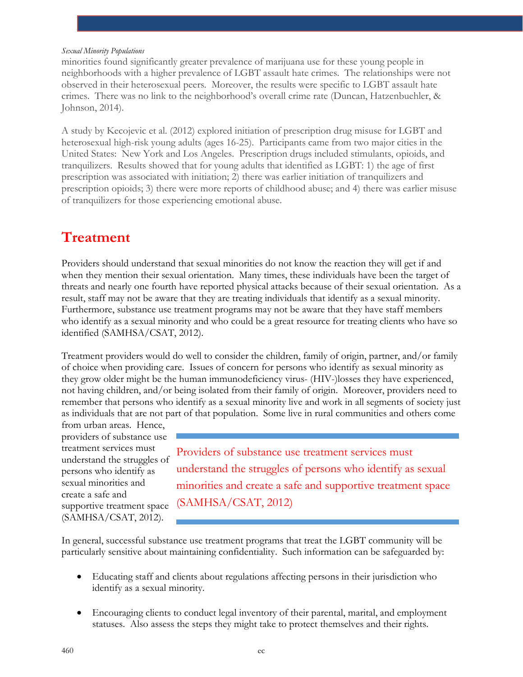minorities found significantly greater prevalence of marijuana use for these young people in neighborhoods with a higher prevalence of LGBT assault hate crimes. The relationships were not observed in their heterosexual peers. Moreover, the results were specific to LGBT assault hate crimes. There was no link to the neighborhood's overall crime rate (Duncan, Hatzenbuehler, & Johnson, 2014).

A study by Kecojevic et al. (2012) explored initiation of prescription drug misuse for LGBT and heterosexual high-risk young adults (ages 16-25). Participants came from two major cities in the United States: New York and Los Angeles. Prescription drugs included stimulants, opioids, and tranquilizers. Results showed that for young adults that identified as LGBT: 1) the age of first prescription was associated with initiation; 2) there was earlier initiation of tranquilizers and prescription opioids; 3) there were more reports of childhood abuse; and 4) there was earlier misuse of tranquilizers for those experiencing emotional abuse.

# **Treatment**

Providers should understand that sexual minorities do not know the reaction they will get if and when they mention their sexual orientation. Many times, these individuals have been the target of threats and nearly one fourth have reported physical attacks because of their sexual orientation. As a result, staff may not be aware that they are treating individuals that identify as a sexual minority. Furthermore, substance use treatment programs may not be aware that they have staff members who identify as a sexual minority and who could be a great resource for treating clients who have so identified (SAMHSA/CSAT, 2012).

Treatment providers would do well to consider the children, family of origin, partner, and/or family of choice when providing care. Issues of concern for persons who identify as sexual minority as they grow older might be the human immunodeficiency virus- (HIV-)losses they have experienced, not having children, and/or being isolated from their family of origin. Moreover, providers need to remember that persons who identify as a sexual minority live and work in all segments of society just as individuals that are not part of that population. Some live in rural communities and others come

from urban areas. Hence, providers of substance use treatment services must understand the struggles of persons who identify as sexual minorities and create a safe and supportive treatment space (SAMHSA/CSAT, 2012).

Providers of substance use treatment services must understand the struggles of persons who identify as sexual minorities and create a safe and supportive treatment space (SAMHSA/CSAT, 2012)

In general, successful substance use treatment programs that treat the LGBT community will be particularly sensitive about maintaining confidentiality. Such information can be safeguarded by:

- Educating staff and clients about regulations affecting persons in their jurisdiction who identify as a sexual minority.
- Encouraging clients to conduct legal inventory of their parental, marital, and employment statuses. Also assess the steps they might take to protect themselves and their rights.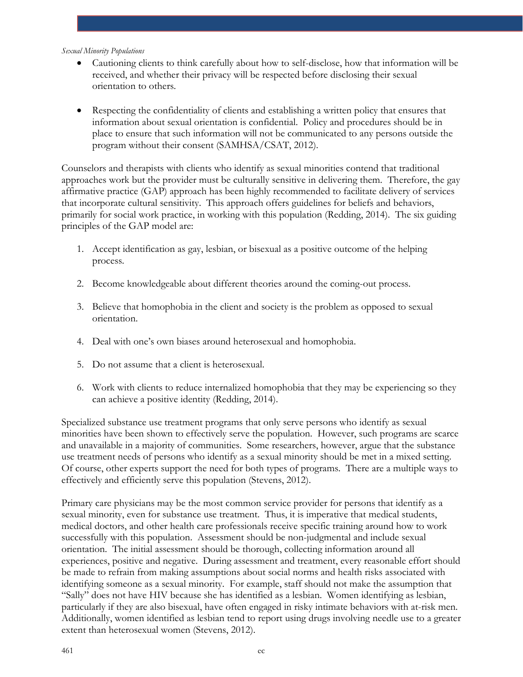- Cautioning clients to think carefully about how to self-disclose, how that information will be received, and whether their privacy will be respected before disclosing their sexual orientation to others.
- Respecting the confidentiality of clients and establishing a written policy that ensures that information about sexual orientation is confidential. Policy and procedures should be in place to ensure that such information will not be communicated to any persons outside the program without their consent (SAMHSA/CSAT, 2012).

Counselors and therapists with clients who identify as sexual minorities contend that traditional approaches work but the provider must be culturally sensitive in delivering them. Therefore, the gay affirmative practice (GAP) approach has been highly recommended to facilitate delivery of services that incorporate cultural sensitivity. This approach offers guidelines for beliefs and behaviors, primarily for social work practice, in working with this population (Redding, 2014). The six guiding principles of the GAP model are:

- 1. Accept identification as gay, lesbian, or bisexual as a positive outcome of the helping process.
- 2. Become knowledgeable about different theories around the coming-out process.
- 3. Believe that homophobia in the client and society is the problem as opposed to sexual orientation.
- 4. Deal with one's own biases around heterosexual and homophobia.
- 5. Do not assume that a client is heterosexual.
- 6. Work with clients to reduce internalized homophobia that they may be experiencing so they can achieve a positive identity (Redding, 2014).

Specialized substance use treatment programs that only serve persons who identify as sexual minorities have been shown to effectively serve the population. However, such programs are scarce and unavailable in a majority of communities. Some researchers, however, argue that the substance use treatment needs of persons who identify as a sexual minority should be met in a mixed setting. Of course, other experts support the need for both types of programs. There are a multiple ways to effectively and efficiently serve this population (Stevens, 2012).

Primary care physicians may be the most common service provider for persons that identify as a sexual minority, even for substance use treatment. Thus, it is imperative that medical students, medical doctors, and other health care professionals receive specific training around how to work successfully with this population. Assessment should be non-judgmental and include sexual orientation. The initial assessment should be thorough, collecting information around all experiences, positive and negative. During assessment and treatment, every reasonable effort should be made to refrain from making assumptions about social norms and health risks associated with identifying someone as a sexual minority. For example, staff should not make the assumption that "Sally" does not have HIV because she has identified as a lesbian. Women identifying as lesbian, particularly if they are also bisexual, have often engaged in risky intimate behaviors with at-risk men. Additionally, women identified as lesbian tend to report using drugs involving needle use to a greater extent than heterosexual women (Stevens, 2012).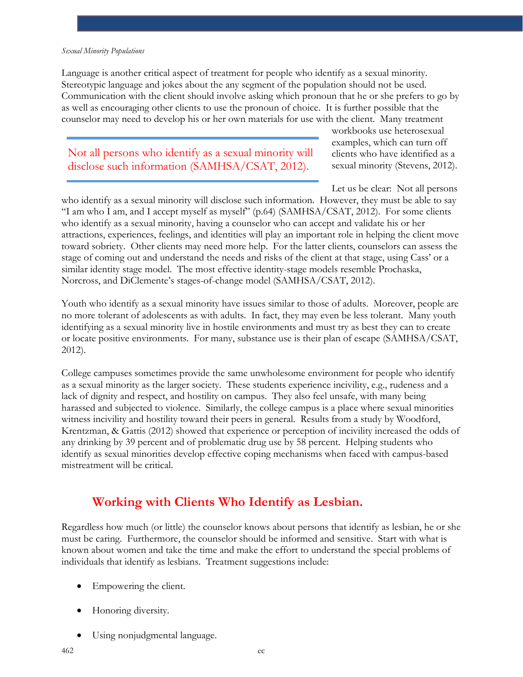Language is another critical aspect of treatment for people who identify as a sexual minority. Stereotypic language and jokes about the any segment of the population should not be used. Communication with the client should involve asking which pronoun that he or she prefers to go by as well as encouraging other clients to use the pronoun of choice. It is further possible that the counselor may need to develop his or her own materials for use with the client. Many treatment

### Not all persons who identify as a sexual minority will disclose such information (SAMHSA/CSAT, 2012).

workbooks use heterosexual examples, which can turn off clients who have identified as a sexual minority (Stevens, 2012).

Let us be clear: Not all persons

who identify as a sexual minority will disclose such information. However, they must be able to say "I am who I am, and I accept myself as myself" (p.64) (SAMHSA/CSAT, 2012). For some clients who identify as a sexual minority, having a counselor who can accept and validate his or her attractions, experiences, feelings, and identities will play an important role in helping the client move toward sobriety. Other clients may need more help. For the latter clients, counselors can assess the stage of coming out and understand the needs and risks of the client at that stage, using Cass' or a similar identity stage model. The most effective identity-stage models resemble Prochaska, Norcross, and DiClemente's stages-of-change model (SAMHSA/CSAT, 2012).

Youth who identify as a sexual minority have issues similar to those of adults. Moreover, people are no more tolerant of adolescents as with adults. In fact, they may even be less tolerant. Many youth identifying as a sexual minority live in hostile environments and must try as best they can to create or locate positive environments. For many, substance use is their plan of escape (SAMHSA/CSAT, 2012).

College campuses sometimes provide the same unwholesome environment for people who identify as a sexual minority as the larger society. These students experience incivility, e.g., rudeness and a lack of dignity and respect, and hostility on campus. They also feel unsafe, with many being harassed and subjected to violence. Similarly, the college campus is a place where sexual minorities witness incivility and hostility toward their peers in general. Results from a study by Woodford, Krentzman, & Gattis (2012) showed that experience or perception of incivility increased the odds of any drinking by 39 percent and of problematic drug use by 58 percent. Helping students who identify as sexual minorities develop effective coping mechanisms when faced with campus-based mistreatment will be critical.

### **Working with Clients Who Identify as Lesbian.**

Regardless how much (or little) the counselor knows about persons that identify as lesbian, he or she must be caring. Furthermore, the counselor should be informed and sensitive. Start with what is known about women and take the time and make the effort to understand the special problems of individuals that identify as lesbians. Treatment suggestions include:

- Empowering the client.
- Honoring diversity.
- Using nonjudgmental language.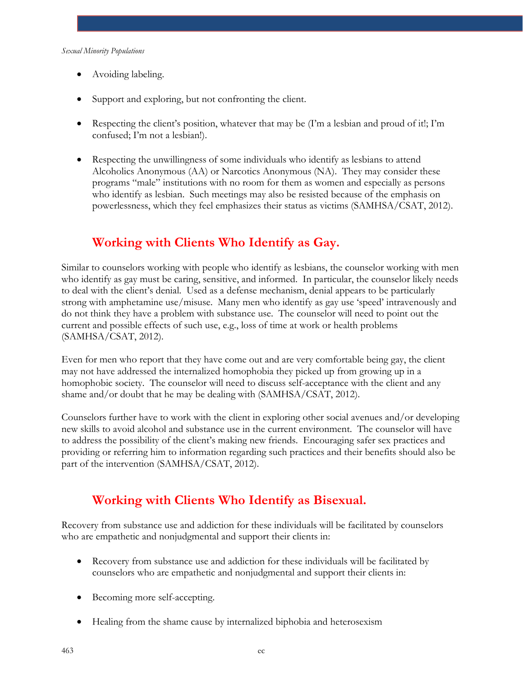- Avoiding labeling.
- Support and exploring, but not confronting the client.
- Respecting the client's position, whatever that may be  $(Tm a$  lesbian and proud of it!; I'm confused; I'm not a lesbian!).
- Respecting the unwillingness of some individuals who identify as lesbians to attend Alcoholics Anonymous (AA) or Narcotics Anonymous (NA). They may consider these programs "male" institutions with no room for them as women and especially as persons who identify as lesbian. Such meetings may also be resisted because of the emphasis on powerlessness, which they feel emphasizes their status as victims (SAMHSA/CSAT, 2012).

## **Working with Clients Who Identify as Gay.**

Similar to counselors working with people who identify as lesbians, the counselor working with men who identify as gay must be caring, sensitive, and informed. In particular, the counselor likely needs to deal with the client's denial. Used as a defense mechanism, denial appears to be particularly strong with amphetamine use/misuse. Many men who identify as gay use 'speed' intravenously and do not think they have a problem with substance use. The counselor will need to point out the current and possible effects of such use, e.g., loss of time at work or health problems (SAMHSA/CSAT, 2012).

Even for men who report that they have come out and are very comfortable being gay, the client may not have addressed the internalized homophobia they picked up from growing up in a homophobic society. The counselor will need to discuss self-acceptance with the client and any shame and/or doubt that he may be dealing with (SAMHSA/CSAT, 2012).

Counselors further have to work with the client in exploring other social avenues and/or developing new skills to avoid alcohol and substance use in the current environment. The counselor will have to address the possibility of the client's making new friends. Encouraging safer sex practices and providing or referring him to information regarding such practices and their benefits should also be part of the intervention (SAMHSA/CSAT, 2012).

## **Working with Clients Who Identify as Bisexual.**

Recovery from substance use and addiction for these individuals will be facilitated by counselors who are empathetic and nonjudgmental and support their clients in:

- Recovery from substance use and addiction for these individuals will be facilitated by counselors who are empathetic and nonjudgmental and support their clients in:
- Becoming more self-accepting.
- Healing from the shame cause by internalized biphobia and heterosexism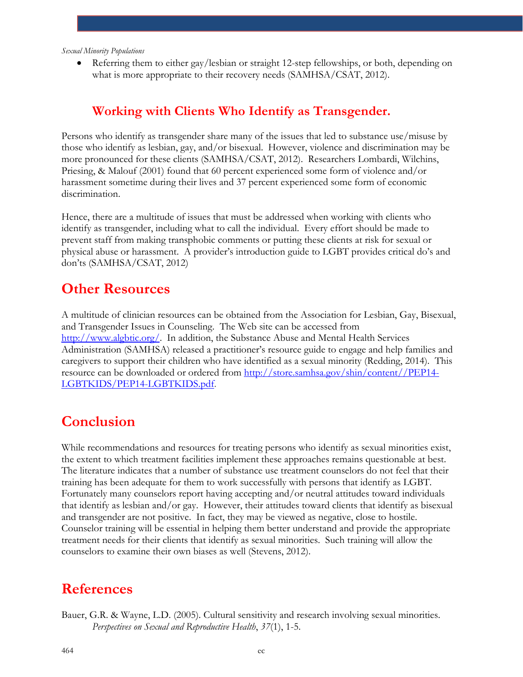• Referring them to either gay/lesbian or straight 12-step fellowships, or both, depending on what is more appropriate to their recovery needs (SAMHSA/CSAT, 2012).

### **Working with Clients Who Identify as Transgender.**

Persons who identify as transgender share many of the issues that led to substance use/misuse by those who identify as lesbian, gay, and/or bisexual. However, violence and discrimination may be more pronounced for these clients (SAMHSA/CSAT, 2012). Researchers Lombardi, Wilchins, Priesing, & Malouf (2001) found that 60 percent experienced some form of violence and/or harassment sometime during their lives and 37 percent experienced some form of economic discrimination.

Hence, there are a multitude of issues that must be addressed when working with clients who identify as transgender, including what to call the individual. Every effort should be made to prevent staff from making transphobic comments or putting these clients at risk for sexual or physical abuse or harassment. A provider's introduction guide to LGBT provides critical do's and don'ts (SAMHSA/CSAT, 2012)

### **Other Resources**

A multitude of clinician resources can be obtained from the Association for Lesbian, Gay, Bisexual, and Transgender Issues in Counseling. The Web site can be accessed from [http://www.algbtic.org/.](http://www.algbtic.org/) In addition, the Substance Abuse and Mental Health Services Administration (SAMHSA) released a practitioner's resource guide to engage and help families and caregivers to support their children who have identified as a sexual minority (Redding, 2014). This resource can be downloaded or ordered from [http://store.samhsa.gov/shin/content//PEP14-](http://store.samhsa.gov/shin/content/PEP14-LGBTKIDS/PEP14-LGBTKIDS.pdf) [LGBTKIDS/PEP14-LGBTKIDS.pdf.](http://store.samhsa.gov/shin/content/PEP14-LGBTKIDS/PEP14-LGBTKIDS.pdf)

# **Conclusion**

While recommendations and resources for treating persons who identify as sexual minorities exist, the extent to which treatment facilities implement these approaches remains questionable at best. The literature indicates that a number of substance use treatment counselors do not feel that their training has been adequate for them to work successfully with persons that identify as LGBT. Fortunately many counselors report having accepting and/or neutral attitudes toward individuals that identify as lesbian and/or gay. However, their attitudes toward clients that identify as bisexual and transgender are not positive. In fact, they may be viewed as negative, close to hostile. Counselor training will be essential in helping them better understand and provide the appropriate treatment needs for their clients that identify as sexual minorities. Such training will allow the counselors to examine their own biases as well (Stevens, 2012).

# **References**

Bauer, G.R. & Wayne, L.D. (2005). Cultural sensitivity and research involving sexual minorities. *Perspectives on Sexual and Reproductive Health*, *37*(1), 1-5.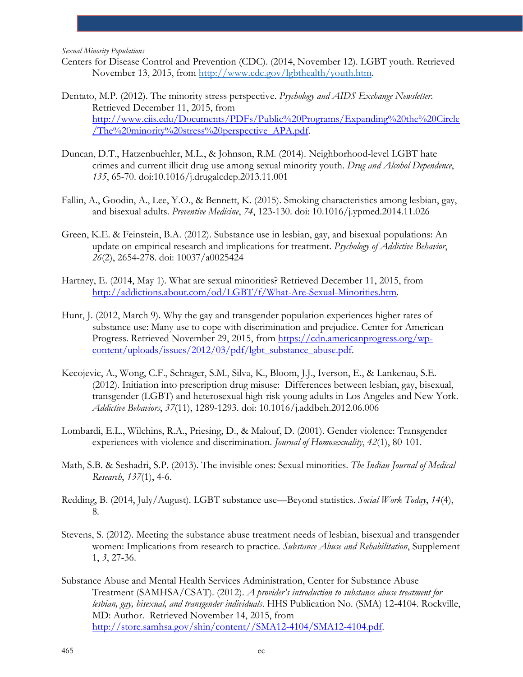- Centers for Disease Control and Prevention (CDC). (2014, November 12). LGBT youth. Retrieved November 13, 2015, from [http://www.cdc.gov/lgbthealth/youth.htm.](http://www.cdc.gov/lgbthealth/youth.htm)
- Dentato, M.P. (2012). The minority stress perspective. *Psychology and AIDS Exchange Newsletter*. Retrieved December 11, 2015, from [http://www.ciis.edu/Documents/PDFs/Public%20Programs/Expanding%20the%20Circle](http://www.ciis.edu/Documents/PDFs/Public%20Programs/Expanding%20the%20Circle/The%20minority%20stress%20perspective_APA.pdf) [/The%20minority%20stress%20perspective\\_APA.pdf.](http://www.ciis.edu/Documents/PDFs/Public%20Programs/Expanding%20the%20Circle/The%20minority%20stress%20perspective_APA.pdf)
- Duncan, D.T., Hatzenbuehler, M.L., & Johnson, R.M. (2014). Neighborhood-level LGBT hate crimes and current illicit drug use among sexual minority youth. *Drug and Alcohol Dependence*, *135*, 65-70. doi:10.1016/j.drugalcdep.2013.11.001
- Fallin, A., Goodin, A., Lee, Y.O., & Bennett, K. (2015). Smoking characteristics among lesbian, gay, and bisexual adults. *Preventive Medicine*, *74*, 123-130. doi: 10.1016/j.ypmed.2014.11.026
- Green, K.E. & Feinstein, B.A. (2012). Substance use in lesbian, gay, and bisexual populations: An update on empirical research and implications for treatment. *Psychology of Addictive Behavior*, *26*(2), 2654-278. doi: 10037/a0025424
- Hartney, E. (2014, May 1). What are sexual minorities? Retrieved December 11, 2015, from [http://addictions.about.com/od/LGBT/f/What-Are-Sexual-Minorities.htm.](http://addictions.about.com/od/LGBT/f/What-Are-Sexual-Minorities.htm)
- Hunt, J. (2012, March 9). Why the gay and transgender population experiences higher rates of substance use: Many use to cope with discrimination and prejudice. Center for American Progress. Retrieved November 29, 2015, from [https://cdn.americanprogress.org/wp](https://cdn.americanprogress.org/wp-content/uploads/issues/2012/03/pdf/lgbt_substance_abuse.pdf)[content/uploads/issues/2012/03/pdf/lgbt\\_substance\\_abuse.pdf.](https://cdn.americanprogress.org/wp-content/uploads/issues/2012/03/pdf/lgbt_substance_abuse.pdf)
- Kecojevic, A., Wong, C.F., Schrager, S.M., Silva, K., Bloom, J.J., Iverson, E., & Lankenau, S.E. (2012). Initiation into prescription drug misuse: Differences between lesbian, gay, bisexual, transgender (LGBT) and heterosexual high-risk young adults in Los Angeles and New York. *Addictive Behaviors*, *37*(11), 1289-1293. doi: 10.1016/j.addbeh.2012.06.006
- Lombardi, E.L., Wilchins, R.A., Priesing, D., & Malouf, D. (2001). Gender violence: Transgender experiences with violence and discrimination. *Journal of Homosexuality*, *42*(1), 80-101.
- Math, S.B. & Seshadri, S.P. (2013). The invisible ones: Sexual minorities. *The Indian Journal of Medical Research*, *137*(1), 4-6.
- Redding, B. (2014, July/August). LGBT substance use—Beyond statistics. *Social Work Today*, *14*(4), 8.
- Stevens, S. (2012). Meeting the substance abuse treatment needs of lesbian, bisexual and transgender women: Implications from research to practice. *Substance Abuse and Rehabilitation*, Supplement 1, *3*, 27-36.
- Substance Abuse and Mental Health Services Administration, Center for Substance Abuse Treatment (SAMHSA/CSAT). (2012). *A provider's introduction to substance abuse treatment for lesbian, gay, bisexual, and transgender individuals*. HHS Publication No. (SMA) 12-4104. Rockville, MD: Author. Retrieved November 14, 2015, from [http://store.samhsa.gov/shin/content//SMA12-4104/SMA12-4104.pdf.](http://store.samhsa.gov/shin/content/SMA12-4104/SMA12-4104.pdf)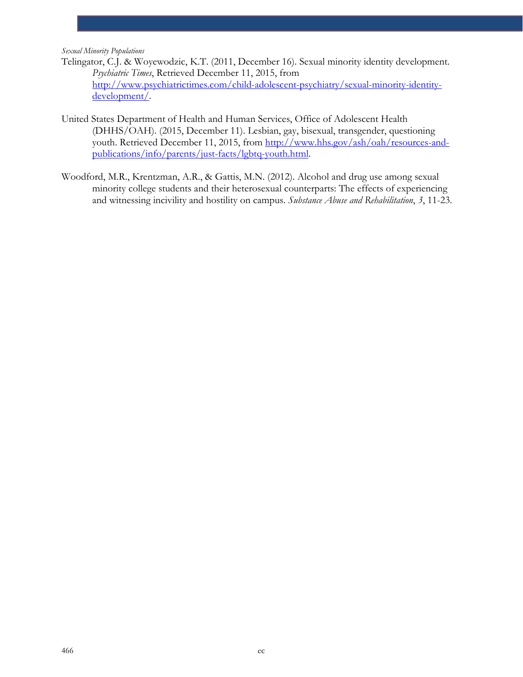- Telingator, C.J. & Woyewodzic, K.T. (2011, December 16). Sexual minority identity development. *Psychiatric Times*, Retrieved December 11, 2015, from [http://www.psychiatrictimes.com/child-adolescent-psychiatry/sexual-minority-identity](http://www.psychiatrictimes.com/child-adolescent-psychiatry/sexual-minority-identity-development/)[development/.](http://www.psychiatrictimes.com/child-adolescent-psychiatry/sexual-minority-identity-development/)
- United States Department of Health and Human Services, Office of Adolescent Health (DHHS/OAH). (2015, December 11). Lesbian, gay, bisexual, transgender, questioning youth. Retrieved December 11, 2015, from [http://www.hhs.gov/ash/oah/resources-and](http://www.hhs.gov/ash/oah/resources-and-publications/info/parents/just-facts/lgbtq-youth.html)[publications/info/parents/just-facts/lgbtq-youth.html.](http://www.hhs.gov/ash/oah/resources-and-publications/info/parents/just-facts/lgbtq-youth.html)
- Woodford, M.R., Krentzman, A.R., & Gattis, M.N. (2012). Alcohol and drug use among sexual minority college students and their heterosexual counterparts: The effects of experiencing and witnessing incivility and hostility on campus. *Substance Abuse and Rehabilitation*, *3*, 11-23.